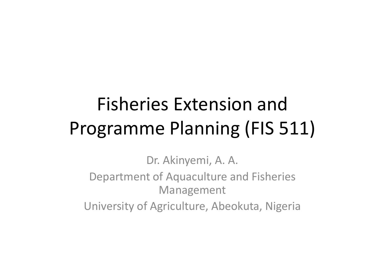# Fisheries Extension and Programme Planning (FIS 511)

Dr. Akinyemi, A. A.Department of Aquaculture and Fisheries ManagementUniversity of Agriculture, Abeokuta, Nigeria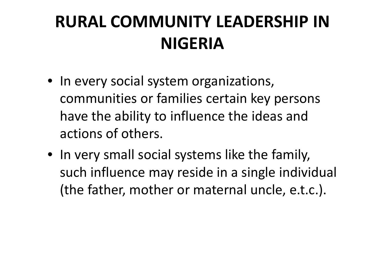## **RURAL COMMUNITY LEADERSHIP IN NIGERIA**

- In every social system organizations, communities or families certain key persons have the ability to influence the ideas and actions of others.
- In very small social systems like the family, such influence may reside in a single individual (the father, mother or maternal uncle, e.t.c.).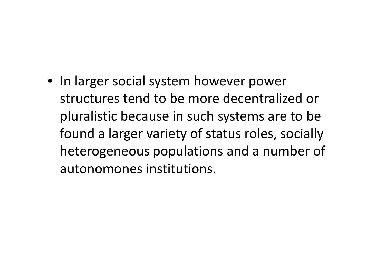• In larger social system however power structures tend to be more decentralized or pluralistic because in such systems are to be found a larger variety of status roles, socially heterogeneous populations and a number of autonomones institutions.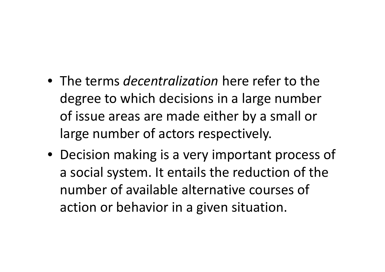- The terms *decentralization* here refer to the degree to which decisions in a large number of issue areas are made either by a small or large number of actors respectively.
- Decision making is a very important process of a social system. It entails the reduction of the number of available alternative courses of action or behavior in a given situation.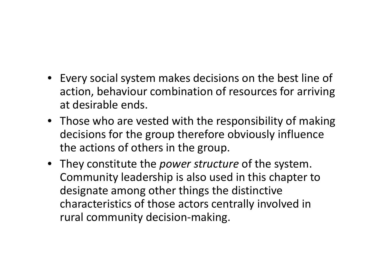- Every social system makes decisions on the best line of action, behaviour combination of resources for arriving at desirable ends.
- Those who are vested with the responsibility of makingdecisions for the group therefore obviously influence the actions of others in the group.
- They constitute the *power structure* of the system. Community leadership is also used in this chapter to designate among other things the distinctive characteristics of those actors centrally involved in rural community decision-making.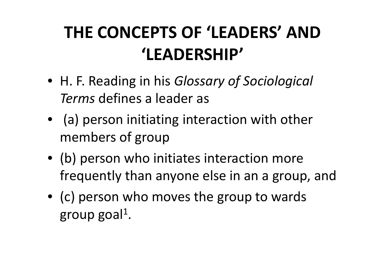## **THE CONCEPTS OF 'LEADERS' AND 'LEADERSHIP'**

- H. F. Reading in his *Glossary of Sociological Terms* defines a leader as
- (a) person initiating interaction with other members of group
- (b) person who initiates interaction more frequently than anyone else in an a group, and
- (c) person who moves the group to wards group goal $^1$ .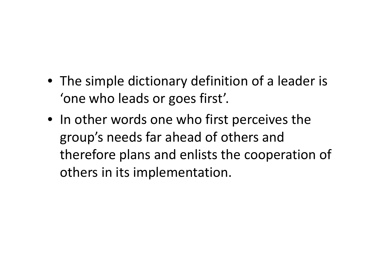- The simple dictionary definition of a leader is 'one who leads or goes first'.
- In other words one who first perceives the group's needs far ahead of others and therefore plans and enlists the cooperation of others in its implementation.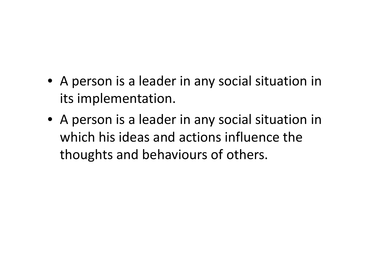- A person is a leader in any social situation in its implementation.
- A person is a leader in any social situation in which his ideas and actions influence the thoughts and behaviours of others.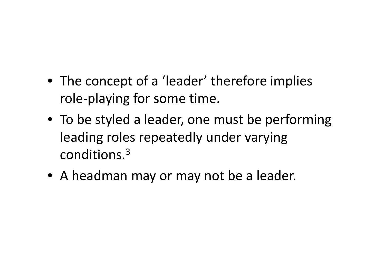- The concept of a 'leader' therefore implies role-playing for some time.
- To be styled a leader, one must be performing leading roles repeatedly under varying conditions.3
- A headman may or may not be a leader.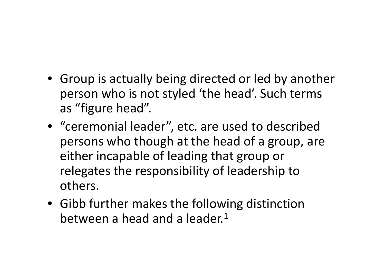- Group is actually being directed or led by another person who is not styled 'the head'. Such terms as "figure head".
- "ceremonial leader", etc. are used to described persons who though at the head of a group, are either incapable of leading that group or relegates the responsibility of leadership to others.
- Gibb further makes the following distinction between a head and a leader. $1$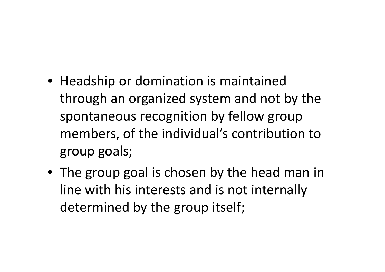- Headship or domination is maintained through an organized system and not by the spontaneous recognition by fellow group members, of the individual's contribution to group goals;
- The group goal is chosen by the head man in line with his interests and is not internally determined by the group itself;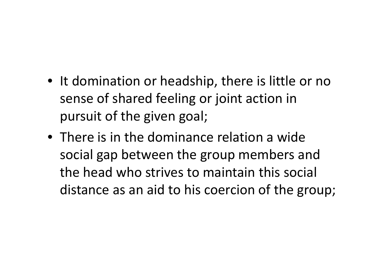- It domination or headship, there is little or no sense of shared feeling or joint action in pursuit of the given goal;
- There is in the dominance relation a wide social gap between the group members and the head who strives to maintain this social distance as an aid to his coercion of the group;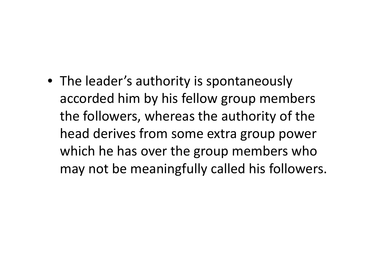• The leader's authority is spontaneously accorded him by his fellow group members the followers, whereas the authority of the head derives from some extra group power which he has over the group members who may not be meaningfully called his followers.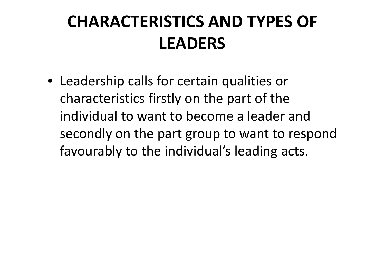## **CHARACTERISTICS AND TYPES OF LEADERS**

• Leadership calls for certain qualities or characteristics firstly on the part of the individual to want to become a leader and secondly on the part group to want to respond favourably to the individual's leading acts.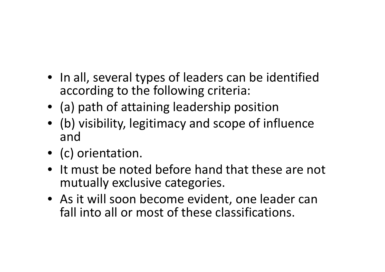- In all, several types of leaders can be identified according to the following criteria:
- (a) path of attaining leadership position
- (b) visibility, legitimacy and scope of influence and
- (c) orientation.
- It must be noted before hand that these are not mutually exclusive categories.
- As it will soon become evident, one leader can fall into all or most of these classifications.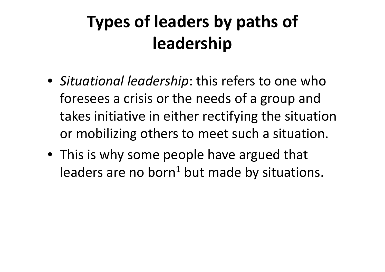# **Types of leaders by paths of leadership**

- *Situational leadership*: this refers to one who foresees a crisis or the needs of a group and takes initiative in either rectifying the situationor mobilizing others to meet such a situation.
- This is why some people have argued that leaders are no born $^1$  but made by situations.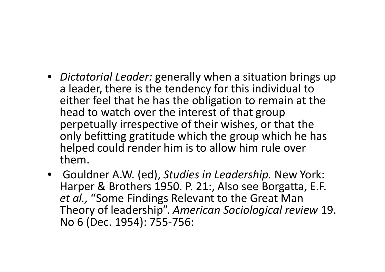- *Dictatorial Leader:* generally when a situation brings up a leader, there is the tendency for this individual to either feel that he has the obligation to remain at the head to watch over the interest of that group perpetually irrespective of their wishes, or that the only befitting gratitude which the group which he has helped could render him is to allow him rule over them.
- Gouldner A.W. (ed), *Studies in Leadership.* New York: Harper & Brothers 1950. P. 21:, Also see Borgatta, E.F. *et al.,* "Some Findings Relevant to the Great Man Theory of leadership". *American Sociological review* 19. No 6 (Dec. 1954): 755-756: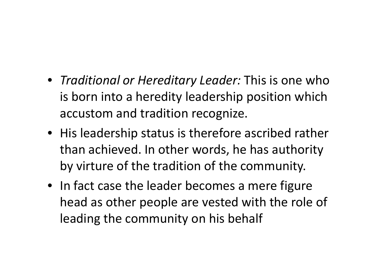- *Traditional or Hereditary Leader:* This is one who is born into a heredity leadership position which accustom and tradition recognize.
- His leadership status is therefore ascribed rather than achieved. In other words, he has authority by virture of the tradition of the community.
- In fact case the leader becomes a mere figure head as other people are vested with the role of leading the community on his behalf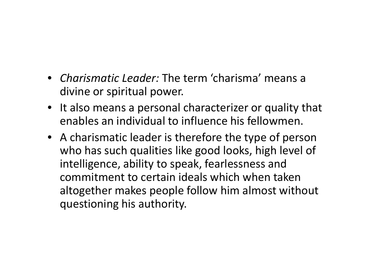- *Charismatic Leader:* The term 'charisma' means a divine or spiritual power.
- It also means a personal characterizer or quality that enables an individual to influence his fellowmen.
- A charismatic leader is therefore the type of person who has such qualities like good looks, high level of intelligence, ability to speak, fearlessness and commitment to certain ideals which when taken altogether makes people follow him almost without questioning his authority.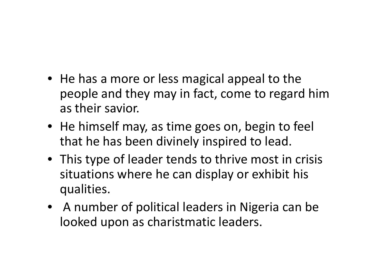- He has a more or less magical appeal to the people and they may in fact, come to regard him as their savior.
- He himself may, as time goes on, begin to feel that he has been divinely inspired to lead.
- This type of leader tends to thrive most in crisis situations where he can display or exhibit his qualities.
- A number of political leaders in Nigeria can be looked upon as charistmatic leaders.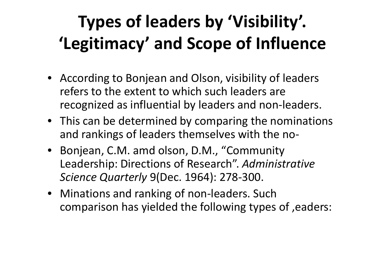# **Types of leaders by 'Visibility'. 'Legitimacy' and Scope of Influence**

- According to Bonjean and Olson, visibility of leaders refers to the extent to which such leaders are recognized as influential by leaders and non-leaders.
- This can be determined by comparing the nominations and rankings of leaders themselves with the no-
- Bonjean, C.M. amd olson, D.M., "Community Leadership: Directions of Research". *Administrative Science Quarterly* 9(Dec. 1964): 278-300.
- Minations and ranking of non-leaders. Such comparison has yielded the following types of ,eaders: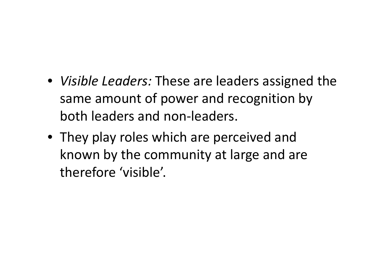- *Visible Leaders:* These are leaders assigned the same amount of power and recognition by both leaders and non-leaders.
- They play roles which are perceived and known by the community at large and are therefore 'visible'.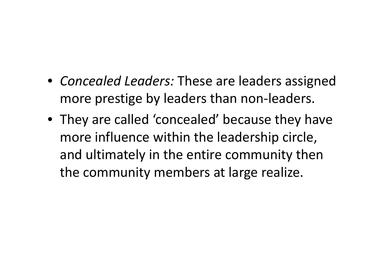- *Concealed Leaders:* These are leaders assigned more prestige by leaders than non-leaders.
- They are called 'concealed' because they have more influence within the leadership circle, and ultimately in the entire community then the community members at large realize.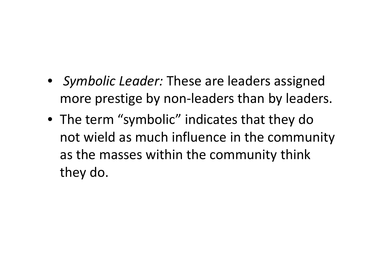- *Symbolic Leader:* These are leaders assigned more prestige by non-leaders than by leaders.
- The term "symbolic" indicates that they do not wield as much influence in the community as the masses within the community think they do.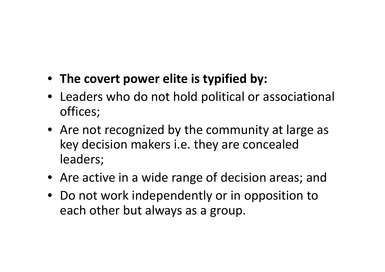- **The covert power elite is typified by:**
- Leaders who do not hold political or associational offices;
- Are not recognized by the community at large as key decision makers i.e. they are concealed leaders;
- Are active in a wide range of decision areas; and
- Do not work independently or in opposition to each other but always as a group.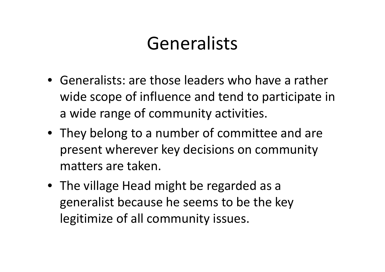## Generalists

- Generalists: are those leaders who have a rather wide scope of influence and tend to participate in a wide range of community activities.
- They belong to a number of committee and are present wherever key decisions on community matters are taken.
- The village Head might be regarded as a generalist because he seems to be the key legitimize of all community issues.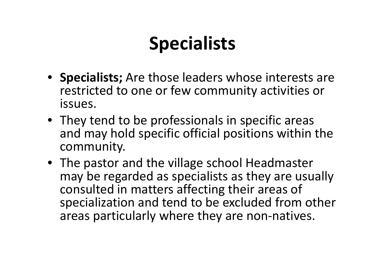# **Specialists**

- **Specialists;** Are those leaders whose interests are restricted to one or few community activities or issues.
- They tend to be professionals in specific areas and may hold specific official positions within thecommunity.
- The pastor and the village school Headmaster may be regarded as specialists as they are usually consulted in matters affecting their areas of specialization and tend to be excluded from other areas particularly where they are non-natives.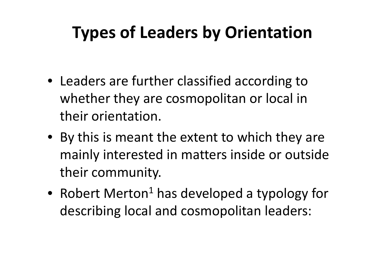#### **Types of Leaders by Orientation**

- Leaders are further classified according to whether they are cosmopolitan or local in their orientation.
- By this is meant the extent to which they are mainly interested in matters inside or outside their community.
- Robert Merton<sup>1</sup> has developed a typology for describing local and cosmopolitan leaders: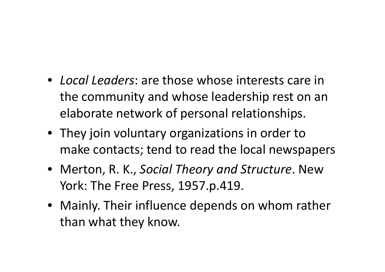- *Local Leaders*: are those whose interests care in the community and whose leadership rest on an elaborate network of personal relationships.
- They join voluntary organizations in order to make contacts; tend to read the local newspapers
- Merton, R. K., *Social Theory and Structure*. New York: The Free Press, 1957.p.419.
- Mainly. Their influence depends on whom rather than what they know.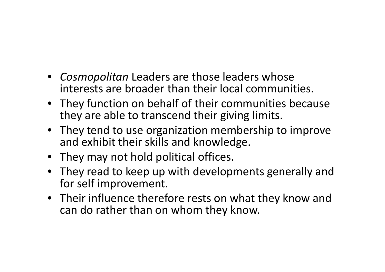- *Cosmopolitan* Leaders are those leaders whose interests are broader than their local communities.
- They function on behalf of their communities because they are able to transcend their giving limits.
- They tend to use organization membership to improve and exhibit their skills and knowledge.
- They may not hold political offices.
- They read to keep up with developments generally andfor self improvement.
- Their influence therefore rests on what they know and can do rather than on whom they know.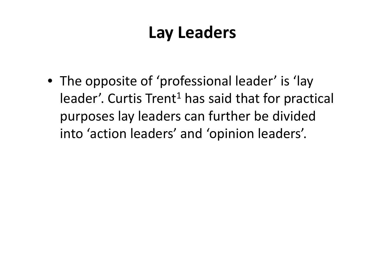#### **Lay Leaders**

• The opposite of 'professional leader' is 'lay leader'. Curtis Trent<sup>1</sup> has said that for practical purposes lay leaders can further be divided into 'action leaders' and 'opinion leaders'.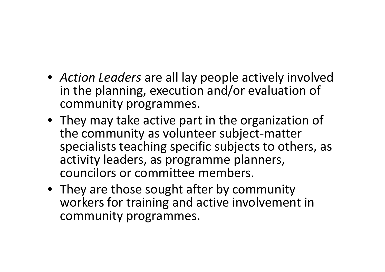- *Action Leaders* are all lay people actively involved in the planning, execution and/or evaluation of community programmes.
- They may take active part in the organization of the community as volunteer subject-matter specialists teaching specific subjects to others, as activity leaders, as programme planners, councilors or committee members.
- They are those sought after by community workers for training and active involvement in community programmes.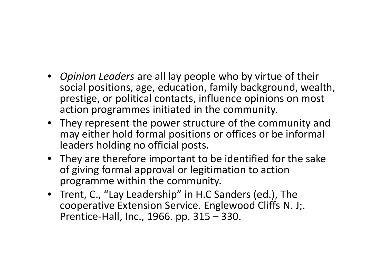- *Opinion Leaders* are all lay people who by virtue of their social positions, age, education, family background, wealth, prestige, or political contacts, influence opinions on most action programmes initiated in the community.
- They represent the power structure of the community and may either hold formal positions or offices or be informal leaders holding no official posts.
- They are therefore important to be identified for the sake of giving formal approval or legitimation to action programme within the community.
- Trent, C., "Lay Leadership" in H.C Sanders (ed.), The cooperative Extension Service. Englewood Cliffs N. J;. Prentice-Hall, Inc., 1966. pp. 315 – 330.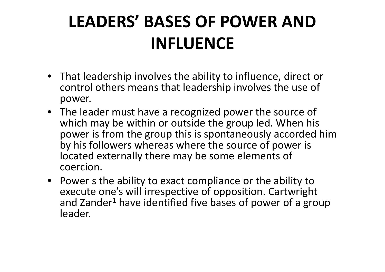# **LEADERS' BASES OF POWER AND INFLUENCE**

- That leadership involves the ability to influence, direct or control others means that leadership involves the use of power.
- The leader must have a recognized power the source of which may be within or outside the group led. When his power is from the group this is spontaneously accorded him by his followers whereas where the source of power is located externally there may be some elements of coercion.
- Power s the ability to exact compliance or the ability to execute one's will irrespective of opposition. Cartwright and Zander<sup>1</sup> have identified five bases of power of a group leader.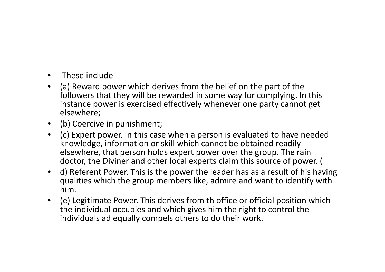- $\bullet$ These include
- $\bullet$  (a) Reward power which derives from the belief on the part of the followers that they will be rewarded in some way for complying. In this instance power is exercised effectively whenever one party cannot get elsewhere;
- (b) Coercive in punishment;
- (c) Expert power. In this case when a person is evaluated to have needed knowledge, information or skill which cannot be obtained readily elsewhere, that person holds expert power over the group. The rain doctor, the Diviner and other local experts claim this source of power. (
- d) Referent Power. This is the power the leader has as a result of his having qualities which the group members like, admire and want to identify with him.
- (e) Legitimate Power. This derives from th office or official position which the individual occupies and which gives him the right to control the individuals ad equally compels others to do their work.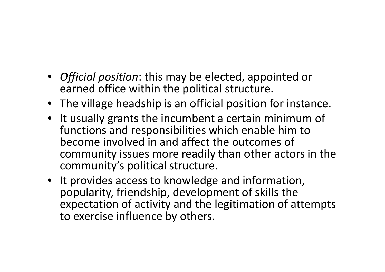- *Official position*: this may be elected, appointed or earned office within the political structure.
- The village headship is an official position for instance.
- It usually grants the incumbent a certain minimum of functions and responsibilities which enable him to become involved in and affect the outcomes of community issues more readily than other actors in the community's political structure.
- It provides access to knowledge and information, popularity, friendship, development of skills the expectation of activity and the legitimation of attempts to exercise influence by others.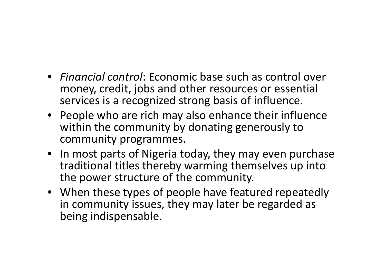- *Financial control*: Economic base such as control over money, credit, jobs and other resources or essential services is a recognized strong basis of influence.
- People who are rich may also enhance their influencewithin the community by donating generously to community programmes.
- In most parts of Nigeria today, they may even purchase traditional titles thereby warming themselves up into the power structure of the community.
- When these types of people have featured repeatedly in community issues, they may later be regarded as being indispensable.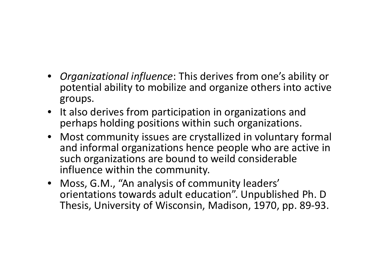- *Organizational influence*: This derives from one's ability or potential ability to mobilize and organize others into active groups.
- It also derives from participation in organizations and perhaps holding positions within such organizations.
- Most community issues are crystallized in voluntary formal and informal organizations hence people who are active in such organizations are bound to weild considerable influence within the community.
- Moss, G.M., "An analysis of community leaders' orientations towards adult education". Unpublished Ph. D Thesis, University of Wisconsin, Madison, 1970, pp. 89-93.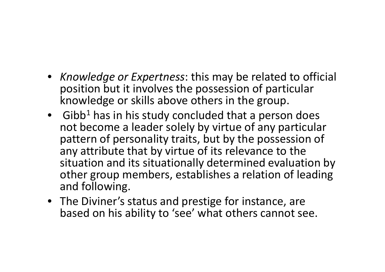- *Knowledge or Expertness*: this may be related to official position but it involves the possession of particular knowledge or skills above others in the group.
- Gibb<sup>1</sup> has in his study concluded that a person does not become a leader solely by virtue of any particular pattern of personality traits, but by the possession of any attribute that by virtue of its relevance to thesituation and its situationally determined evaluation by other group members, establishes a relation of leadingand following.
- The Diviner's status and prestige for instance, are based on his ability to 'see' what others cannot see.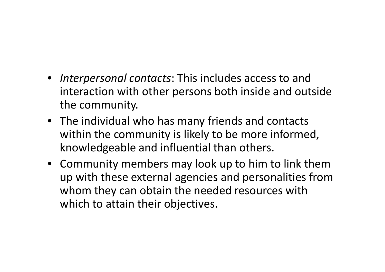- *Interpersonal contacts*: This includes access to and interaction with other persons both inside and outside the community.
- The individual who has many friends and contacts within the community is likely to be more informed, knowledgeable and influential than others.
- Community members may look up to him to link them up with these external agencies and personalities from whom they can obtain the needed resources with which to attain their objectives.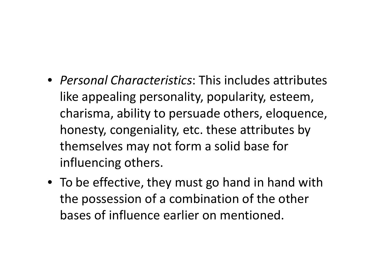- *Personal Characteristics*: This includes attributes like appealing personality, popularity, esteem, charisma, ability to persuade others, eloquence, honesty, congeniality, etc. these attributes by themselves may not form a solid base for influencing others.
- To be effective, they must go hand in hand with the possession of a combination of the other bases of influence earlier on mentioned.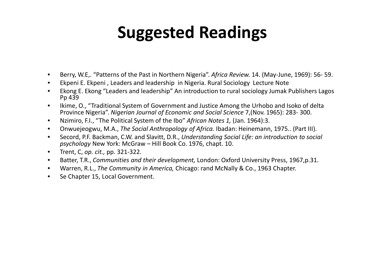### **Suggested Readings**

- •Berry, W.E,. "Patterns of the Past in Northern Nigeria". *Africa Review.* 14. (May-June, 1969): 56- 59.
- •Ekpeni E. Ekpeni , Leaders and leadership in Nigeria. Rural Sociology Lecture Note
- • Ekong E. Ekong "Leaders and leadership" An introduction to rural sociology Jumak Publishers Lagos Pp 439
- Ikime, O., "Traditional System of Government and Justice Among the Urhobo and Isoko of delta<br>Representing the Urbanish Microsoft Contract of Francesculo and Carinal Coinces 7 (New 1965), 200, 200, 200  $\bullet$ Province Nigeria". *Nigerian Journal of Economic and Social Science* 7,(Nov. 1965): 283- 300.
- •Nzimiro, F.I., "The Political System of the Ibo" *African Notes 1,* (Jan. 1964):3.
- •Onwuejeogwu, M.A., *The Social Anthropology of Africa.* Ibadan: Heinemann, 1975.. (Part III).
- $\bullet$ Secord, P.F. Backman, C.W. and Slavitt, D.R., *Understanding Social Life: an introduction to social* **Company of the Social and Social and Social and Social and Social and Social and Social and Social and Social and Social** *psychology* New York: McGraw – Hill Book Co. 1976, chapt. 10.
- $\bullet$ Trent, C, *op. cit.,* pp. 321-322.
- $\bullet$ Batter, T.R., *Communities and their development,* London: Oxford University Press, 1967,p.31.
- $\bullet$ Warren, R.L., *The Community in America,* Chicago: rand McNally & Co., 1963 Chapter.
- $\bullet$ Se Chapter 15, Local Government.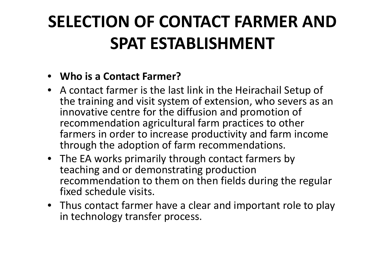# **SELECTION OF CONTACT FARMER AND SPAT ESTABLISHMENT**

#### • **Who is a Contact Farmer?**

- A contact farmer is the last link in the Heirachail Setup of the training and visit system of extension, who severs as an innovative centre for the diffusion and promotion of recommendation agricultural farm practices to other farmers in order to increase productivity and farm income through the adoption of farm recommendations.
- The EA works primarily through contact farmers by teaching and or demonstrating production recommendation to them on then fields during the regular fixed schedule visits.
- Thus contact farmer have a clear and important role to play in technology transfer process.